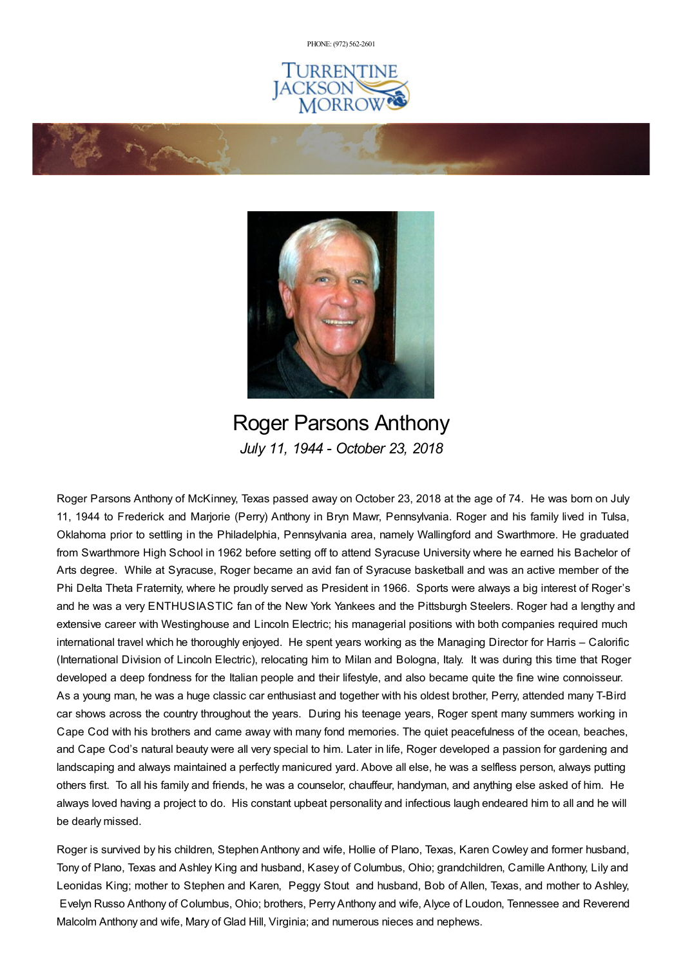PHONE: (972) [562-2601](tel:(972) 562-2601)







Roger Parsons Anthony *July 11, 1944 - October 23, 2018*

Roger Parsons Anthony of McKinney, Texas passed away on October 23, 2018 at the age of 74. He was born on July 11, 1944 to Frederick and Marjorie (Perry) Anthony in Bryn Mawr, Pennsylvania. Roger and his family lived in Tulsa, Oklahoma prior to settling in the Philadelphia, Pennsylvania area, namely Wallingford and Swarthmore. He graduated from Swarthmore High School in 1962 before setting off to attend Syracuse University where he earned his Bachelor of Arts degree. While at Syracuse, Roger became an avid fan of Syracuse basketball and was an active member of the Phi Delta Theta Fraternity, where he proudly served as President in 1966. Sports were always a big interest of Roger's and he was a very ENTHUSIASTIC fan of the New York Yankees and the Pittsburgh Steelers. Roger had a lengthy and extensive career with Westinghouse and Lincoln Electric; his managerial positions with both companies required much international travel which he thoroughly enjoyed. He spent years working as the Managing Director for Harris – Calorific (International Division of Lincoln Electric), relocating him to Milan and Bologna, Italy. It was during this time that Roger developed a deep fondness for the Italian people and their lifestyle, and also became quite the fine wine connoisseur. As a young man, he was a huge classic car enthusiast and together with his oldest brother, Perry, attended many T-Bird car shows across the country throughout the years. During his teenage years, Roger spent many summers working in Cape Cod with his brothers and came away with many fond memories. The quiet peacefulness of the ocean, beaches, and Cape Cod's natural beauty were all very special to him. Later in life, Roger developed a passion for gardening and landscaping and always maintained a perfectly manicured yard. Above all else, he was a selfless person, always putting others first. To all his family and friends, he was a counselor, chauffeur, handyman, and anything else asked of him. He always loved having a project to do. His constant upbeat personality and infectious laugh endeared him to all and he will be dearly missed.

Roger is survived by his children, Stephen Anthony and wife, Hollie of Plano, Texas, Karen Cowley and former husband, Tony of Plano, Texas and Ashley King and husband, Kasey of Columbus, Ohio; grandchildren, Camille Anthony, Lily and Leonidas King; mother to Stephen and Karen, Peggy Stout and husband, Bob of Allen, Texas, and mother to Ashley, Evelyn Russo Anthony of Columbus, Ohio; brothers, PerryAnthony and wife, Alyce of Loudon, Tennessee and Reverend Malcolm Anthony and wife, Mary of Glad Hill, Virginia; and numerous nieces and nephews.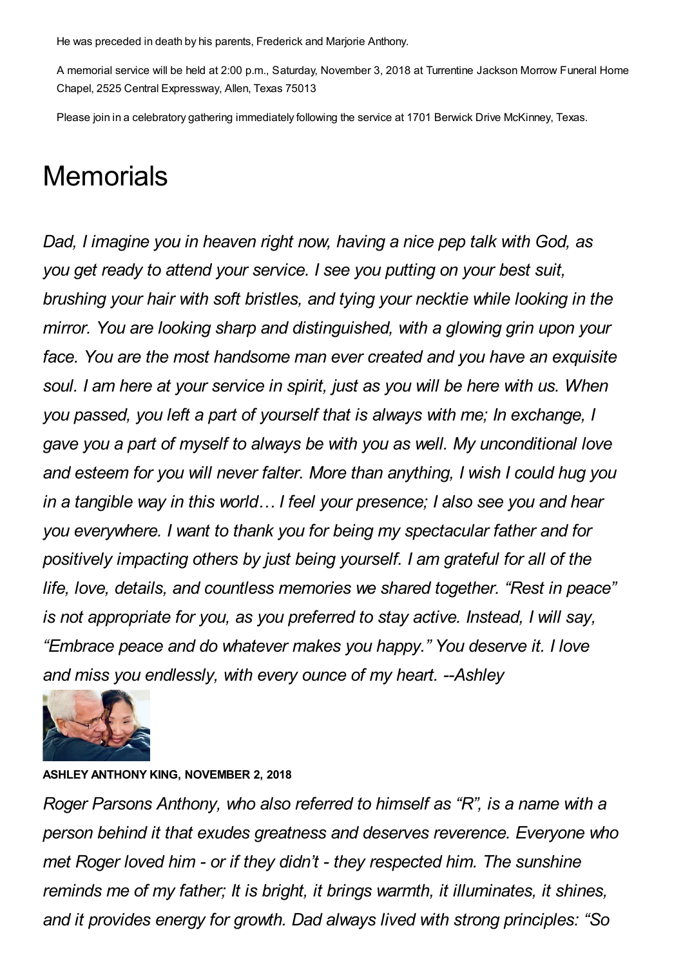He was preceded in death by his parents, Frederick and Marjorie Anthony.

A memorial service will be held at 2:00 p.m., Saturday, November 3, 2018 at Turrentine Jackson Morrow Funeral Home Chapel, 2525 Central Expressway, Allen, Texas 75013

Please join in a celebratory gathering immediately following the service at 1701 Berwick Drive McKinney, Texas.

## **Memorials**

*Dad, I imagine you in heaven right now, having a nice pep talk with God, as you get ready to attend your service. I see you putting on your best suit, brushing your hair with soft bristles, and tying your necktie while looking in the mirror. You are looking sharp and distinguished, with a glowing grin upon your face. You are the most handsome man ever created and you have an exquisite soul. I am here at your service in spirit, just as you will be here with us. When you passed, you left a part of yourself that is always with me; In exchange, I gave you a part of myself to always be with you as well. My unconditional love and esteem for you will never falter. More than anything, I wish I could hug you in a tangible way in this world… I feel your presence; I also see you and hear you everywhere. I want to thank you for being my spectacular father and for positively impacting others by just being yourself. I am grateful for all of the life, love, details, and countless memories we shared together. "Rest in peace" is not appropriate for you, as you preferred to stay active. Instead, I will say, "Embrace peace and do whatever makes you happy." You deserve it. I love and miss you endlessly, with every ounce of my heart. --Ashley*



## **ASHLEY ANTHONY KING, NOVEMBER 2, 2018**

*Roger Parsons Anthony, who also referred to himself as "R", is a name with a person behind it that exudes greatness and deserves reverence. Everyone who met Roger loved him - or if they didn't - they respected him. The sunshine reminds me of my father; It is bright, it brings warmth, it illuminates, it shines, and it provides energy for growth. Dad always lived with strong principles: "So*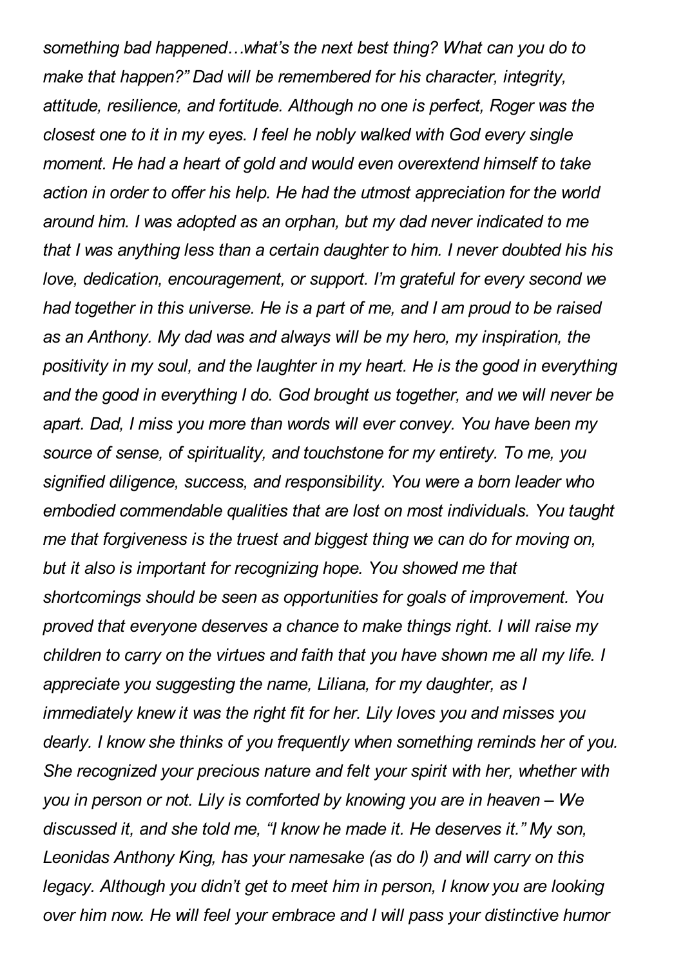*something bad happened…what's the next best thing? What can you do to make that happen?" Dad will be remembered for his character, integrity, attitude, resilience, and fortitude. Although no one is perfect, Roger was the closest one to it in my eyes. I feel he nobly walked with God every single moment. He had a heart of gold and would even overextend himself to take action in order to offer his help. He had the utmost appreciation for the world around him. I was adopted as an orphan, but my dad never indicated to me that I was anything less than a certain daughter to him. I never doubted his his love, dedication, encouragement, or support. I'm grateful for every second we had together in this universe. He is a part of me, and I am proud to be raised as an Anthony. My dad was and always will be my hero, my inspiration, the positivity in my soul, and the laughter in my heart. He is the good in everything and the good in everything I do. God brought us together, and we will never be apart. Dad, I miss you more than words will ever convey. You have been my source of sense, of spirituality, and touchstone for my entirety. To me, you signified diligence, success, and responsibility. You were a born leader who embodied commendable qualities that are lost on most individuals. You taught me that forgiveness is the truest and biggest thing we can do for moving on, but it also is important for recognizing hope. You showed me that shortcomings should be seen as opportunities for goals of improvement. You proved that everyone deserves a chance to make things right. I will raise my children to carry on the virtues and faith that you have shown me all my life. I appreciate you suggesting the name, Liliana, for my daughter, as I immediately knew it was the right fit for her. Lily loves you and misses you dearly. I know she thinks of you frequently when something reminds her of you. She recognized your precious nature and felt your spirit with her, whether with you in person or not. Lily is comforted by knowing you are in heaven – We discussed it, and she told me, "I know he made it. He deserves it." My son, Leonidas Anthony King, has your namesake (as do I) and will carry on this legacy. Although you didn't get to meet him in person, I know you are looking over him now. He will feel your embrace and I will pass your distinctive humor*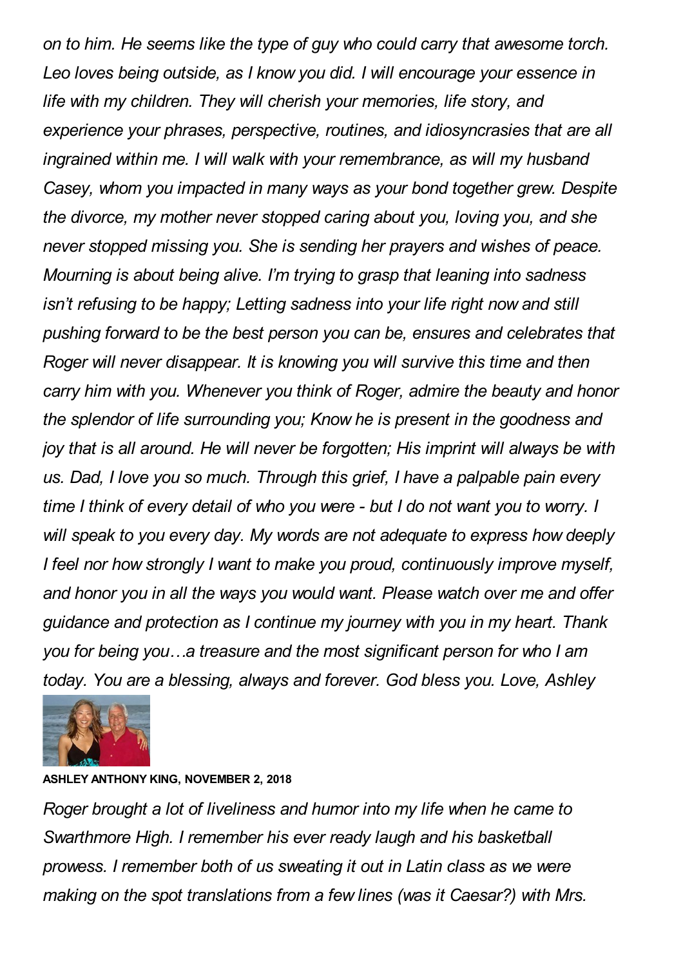*on to him. He seems like the type of guy who could carry that awesome torch. Leo loves being outside, as I know you did. I will encourage your essence in life with my children. They will cherish your memories, life story, and experience your phrases, perspective, routines, and idiosyncrasies that are all ingrained within me. I will walk with your remembrance, as will my husband Casey, whom you impacted in many ways as your bond together grew. Despite the divorce, my mother never stopped caring about you, loving you, and she never stopped missing you. She is sending her prayers and wishes of peace. Mourning is about being alive. I'm trying to grasp that leaning into sadness isn't refusing to be happy; Letting sadness into your life right now and still pushing forward to be the best person you can be, ensures and celebrates that Roger will never disappear. It is knowing you will survive this time and then carry him with you. Whenever you think of Roger, admire the beauty and honor the splendor of life surrounding you; Know he is present in the goodness and joy that is all around. He will never be forgotten; His imprint will always be with us. Dad, I love you so much. Through this grief, I have a palpable pain every time I think of every detail of who you were - but I do not want you to worry. I will speak to you every day. My words are not adequate to express how deeply I feel nor how strongly I want to make you proud, continuously improve myself, and honor you in all the ways you would want. Please watch over me and offer guidance and protection as I continue my journey with you in my heart. Thank you for being you…a treasure and the most significant person for who I am today. You are a blessing, always and forever. God bless you. Love, Ashley*



## **ASHLEY ANTHONY KING, NOVEMBER 2, 2018**

*Roger brought a lot of liveliness and humor into my life when he came to Swarthmore High. I remember his ever ready laugh and his basketball prowess. I remember both of us sweating it out in Latin class as we were making on the spot translations from a few lines (was it Caesar?) with Mrs.*